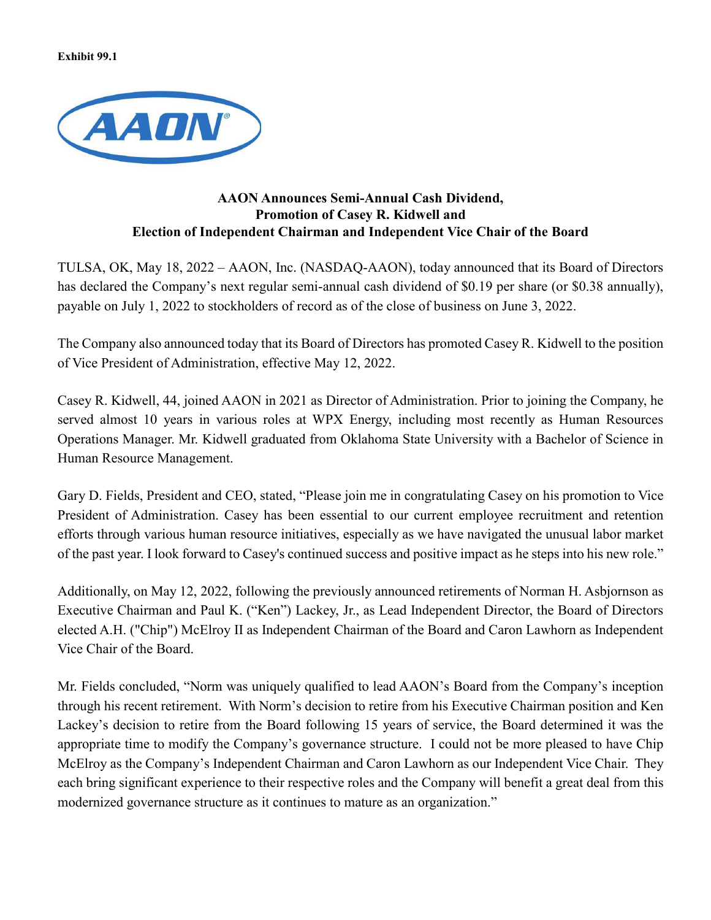**Exhibit 99.1**



## **AAON Announces Semi-Annual Cash Dividend, Promotion of Casey R. Kidwell and Election of Independent Chairman and Independent Vice Chair of the Board**

TULSA, OK, May 18, 2022 – AAON, Inc. (NASDAQ-AAON), today announced that its Board of Directors has declared the Company's next regular semi-annual cash dividend of \$0.19 per share (or \$0.38 annually), payable on July 1, 2022 to stockholders of record as of the close of business on June 3, 2022.

The Company also announced today that its Board of Directors has promoted Casey R. Kidwell to the position of Vice President of Administration, effective May 12, 2022.

Casey R. Kidwell, 44, joined AAON in 2021 as Director of Administration. Prior to joining the Company, he served almost 10 years in various roles at WPX Energy, including most recently as Human Resources Operations Manager. Mr. Kidwell graduated from Oklahoma State University with a Bachelor of Science in Human Resource Management.

Gary D. Fields, President and CEO, stated, "Please join me in congratulating Casey on his promotion to Vice President of Administration. Casey has been essential to our current employee recruitment and retention efforts through various human resource initiatives, especially as we have navigated the unusual labor market of the past year. I look forward to Casey's continued success and positive impact as he steps into his new role."

Additionally, on May 12, 2022, following the previously announced retirements of Norman H. Asbjornson as Executive Chairman and Paul K. ("Ken") Lackey, Jr., as Lead Independent Director, the Board of Directors elected A.H. ("Chip") McElroy II as Independent Chairman of the Board and Caron Lawhorn as Independent Vice Chair of the Board.

Mr. Fields concluded, "Norm was uniquely qualified to lead AAON's Board from the Company's inception through his recent retirement. With Norm's decision to retire from his Executive Chairman position and Ken Lackey's decision to retire from the Board following 15 years of service, the Board determined it was the appropriate time to modify the Company's governance structure. I could not be more pleased to have Chip McElroy as the Company's Independent Chairman and Caron Lawhorn as our Independent Vice Chair. They each bring significant experience to their respective roles and the Company will benefit a great deal from this modernized governance structure as it continues to mature as an organization."